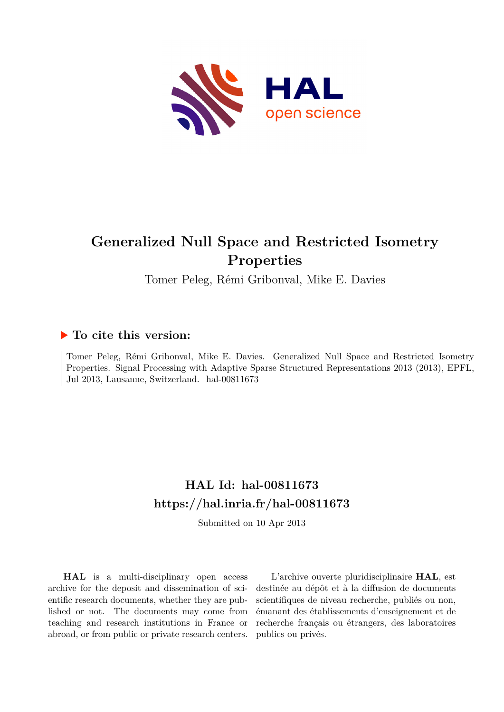

# **Generalized Null Space and Restricted Isometry Properties**

Tomer Peleg, Rémi Gribonval, Mike E. Davies

### **To cite this version:**

Tomer Peleg, Rémi Gribonval, Mike E. Davies. Generalized Null Space and Restricted Isometry Properties. Signal Processing with Adaptive Sparse Structured Representations 2013 (2013), EPFL, Jul 2013, Lausanne, Switzerland. hal-00811673

## **HAL Id: hal-00811673 <https://hal.inria.fr/hal-00811673>**

Submitted on 10 Apr 2013

**HAL** is a multi-disciplinary open access archive for the deposit and dissemination of scientific research documents, whether they are published or not. The documents may come from teaching and research institutions in France or abroad, or from public or private research centers.

L'archive ouverte pluridisciplinaire **HAL**, est destinée au dépôt et à la diffusion de documents scientifiques de niveau recherche, publiés ou non, émanant des établissements d'enseignement et de recherche français ou étrangers, des laboratoires publics ou privés.